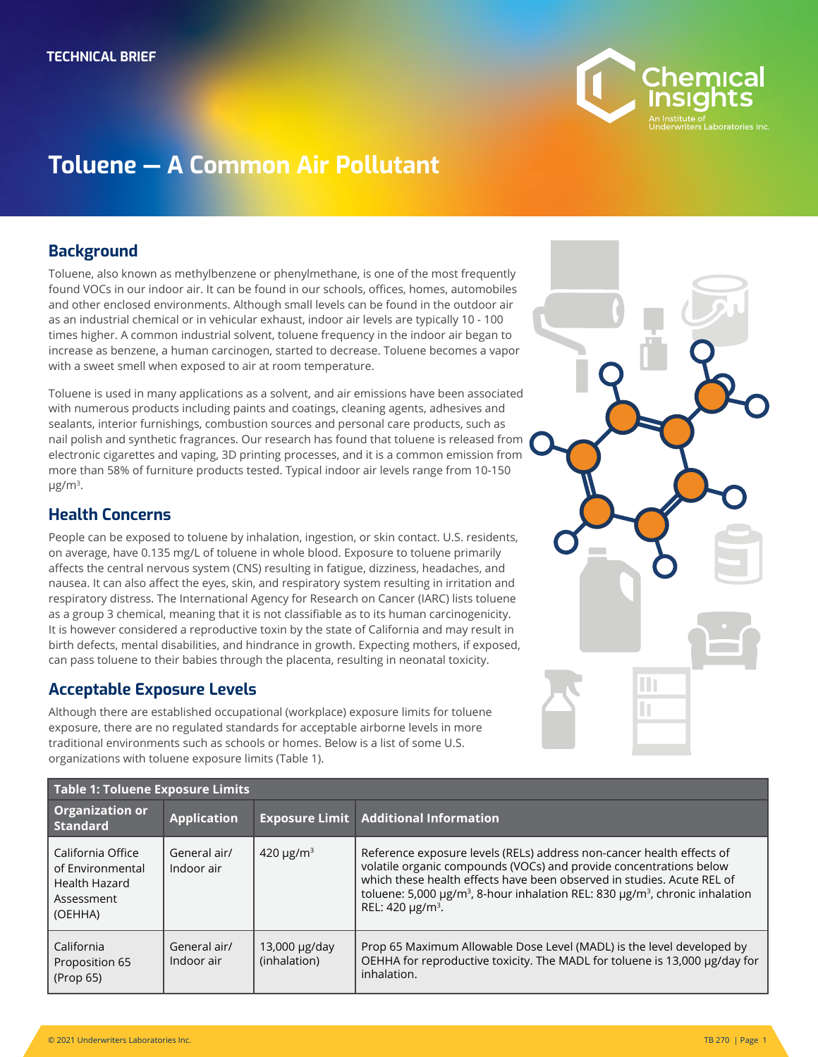

# **Toluene — A Common Air Pollutant**

## **Background**

Toluene, also known as methylbenzene or phenylmethane, is one of the most frequently found VOCs in our indoor air. It can be found in our schools, offices, homes, automobiles and other enclosed environments. Although small levels can be found in the outdoor air as an industrial chemical or in vehicular exhaust, indoor air levels are typically 10 - 100 times higher. A common industrial solvent, toluene frequency in the indoor air began to increase as benzene, a human carcinogen, started to decrease. Toluene becomes a vapor with a sweet smell when exposed to air at room temperature.

Toluene is used in many applications as a solvent, and air emissions have been associated with numerous products including paints and coatings, cleaning agents, adhesives and sealants, interior furnishings, combustion sources and personal care products, such as nail polish and synthetic fragrances. Our research has found that toluene is released from electronic cigarettes and vaping, 3D printing processes, and it is a common emission from more than 58% of furniture products tested. Typical indoor air levels range from 10-150 μg/m3.

### **Health Concerns**

People can be exposed to toluene by inhalation, ingestion, or skin contact. U.S. residents, on average, have 0.135 mg/L of toluene in whole blood. Exposure to toluene primarily affects the central nervous system (CNS) resulting in fatigue, dizziness, headaches, and nausea. It can also affect the eyes, skin, and respiratory system resulting in irritation and respiratory distress. The International Agency for Research on Cancer (IARC) lists toluene as a group 3 chemical, meaning that it is not classifiable as to its human carcinogenicity. It is however considered a reproductive toxin by the state of California and may result in birth defects, mental disabilities, and hindrance in growth. Expecting mothers, if exposed, can pass toluene to their babies through the placenta, resulting in neonatal toxicity.

# **Acceptable Exposure Levels**

Although there are established occupational (workplace) exposure limits for toluene exposure, there are no regulated standards for acceptable airborne levels in more traditional environments such as schools or homes. Below is a list of some U.S. organizations with toluene exposure limits (Table 1).

| <b>Table 1: Toluene Exposure Limits</b>                                         |                            |                                    |                                                                                                                                                                                                                                                                                                                                                                    |  |
|---------------------------------------------------------------------------------|----------------------------|------------------------------------|--------------------------------------------------------------------------------------------------------------------------------------------------------------------------------------------------------------------------------------------------------------------------------------------------------------------------------------------------------------------|--|
| <b>Organization or</b><br><b>Standard</b>                                       | <b>Application</b>         |                                    | <b>Exposure Limit   Additional Information</b>                                                                                                                                                                                                                                                                                                                     |  |
| California Office<br>of Environmental<br>Health Hazard<br>Assessment<br>(OEHHA) | General air/<br>Indoor air | 420 $\mu$ g/m <sup>3</sup>         | Reference exposure levels (RELs) address non-cancer health effects of<br>volatile organic compounds (VOCs) and provide concentrations below<br>which these health effects have been observed in studies. Acute REL of<br>toluene: 5,000 μg/m <sup>3</sup> , 8-hour inhalation REL: 830 μg/m <sup>3</sup> , chronic inhalation<br>REL: 420 $\mu$ g/m <sup>3</sup> . |  |
| California<br>Proposition 65<br>(Prop 65)                                       | General air/<br>Indoor air | $13,000 \mu g/day$<br>(inhalation) | Prop 65 Maximum Allowable Dose Level (MADL) is the level developed by<br>OEHHA for reproductive toxicity. The MADL for toluene is 13,000 µg/day for<br>inhalation.                                                                                                                                                                                                 |  |